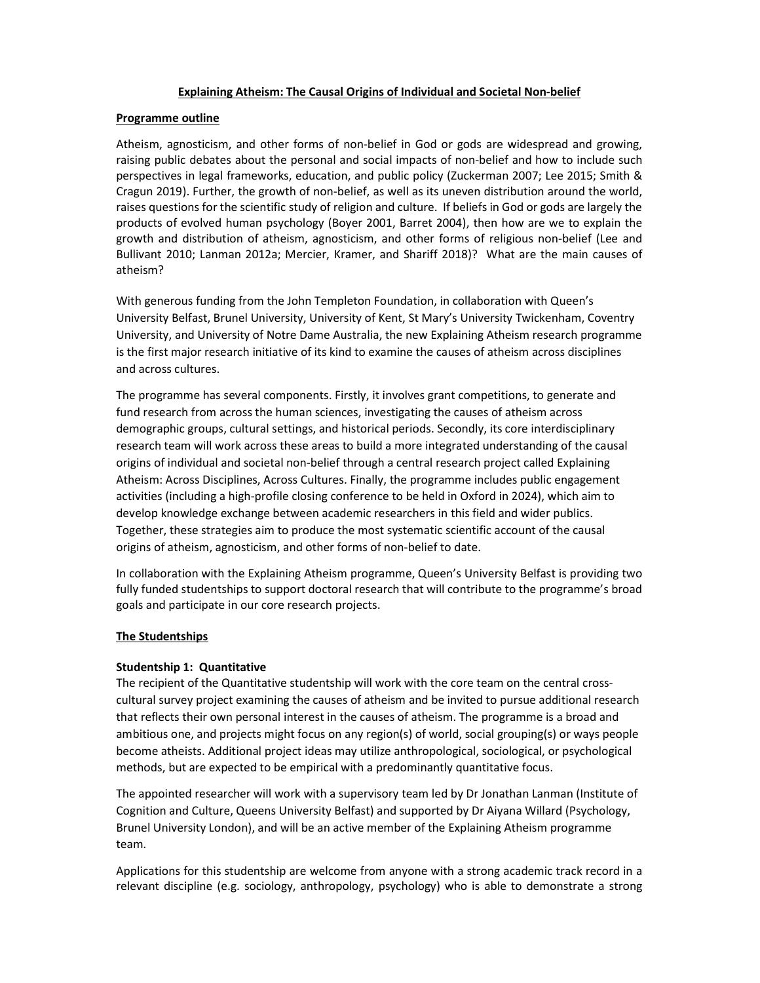### Explaining Atheism: The Causal Origins of Individual and Societal Non-belief

### Programme outline

Atheism, agnosticism, and other forms of non-belief in God or gods are widespread and growing, raising public debates about the personal and social impacts of non-belief and how to include such perspectives in legal frameworks, education, and public policy (Zuckerman 2007; Lee 2015; Smith & Cragun 2019). Further, the growth of non-belief, as well as its uneven distribution around the world, raises questions for the scientific study of religion and culture. If beliefs in God or gods are largely the products of evolved human psychology (Boyer 2001, Barret 2004), then how are we to explain the growth and distribution of atheism, agnosticism, and other forms of religious non-belief (Lee and Bullivant 2010; Lanman 2012a; Mercier, Kramer, and Shariff 2018)? What are the main causes of atheism?

With generous funding from the John Templeton Foundation, in collaboration with Queen's University Belfast, Brunel University, University of Kent, St Mary's University Twickenham, Coventry University, and University of Notre Dame Australia, the new Explaining Atheism research programme is the first major research initiative of its kind to examine the causes of atheism across disciplines and across cultures.

The programme has several components. Firstly, it involves grant competitions, to generate and fund research from across the human sciences, investigating the causes of atheism across demographic groups, cultural settings, and historical periods. Secondly, its core interdisciplinary research team will work across these areas to build a more integrated understanding of the causal origins of individual and societal non-belief through a central research project called Explaining Atheism: Across Disciplines, Across Cultures. Finally, the programme includes public engagement activities (including a high-profile closing conference to be held in Oxford in 2024), which aim to develop knowledge exchange between academic researchers in this field and wider publics. Together, these strategies aim to produce the most systematic scientific account of the causal origins of atheism, agnosticism, and other forms of non-belief to date.

In collaboration with the Explaining Atheism programme, Queen's University Belfast is providing two fully funded studentships to support doctoral research that will contribute to the programme's broad goals and participate in our core research projects.

### The Studentships

### Studentship 1: Quantitative

The recipient of the Quantitative studentship will work with the core team on the central crosscultural survey project examining the causes of atheism and be invited to pursue additional research that reflects their own personal interest in the causes of atheism. The programme is a broad and ambitious one, and projects might focus on any region(s) of world, social grouping(s) or ways people become atheists. Additional project ideas may utilize anthropological, sociological, or psychological methods, but are expected to be empirical with a predominantly quantitative focus.

The appointed researcher will work with a supervisory team led by Dr Jonathan Lanman (Institute of Cognition and Culture, Queens University Belfast) and supported by Dr Aiyana Willard (Psychology, Brunel University London), and will be an active member of the Explaining Atheism programme team.

Applications for this studentship are welcome from anyone with a strong academic track record in a relevant discipline (e.g. sociology, anthropology, psychology) who is able to demonstrate a strong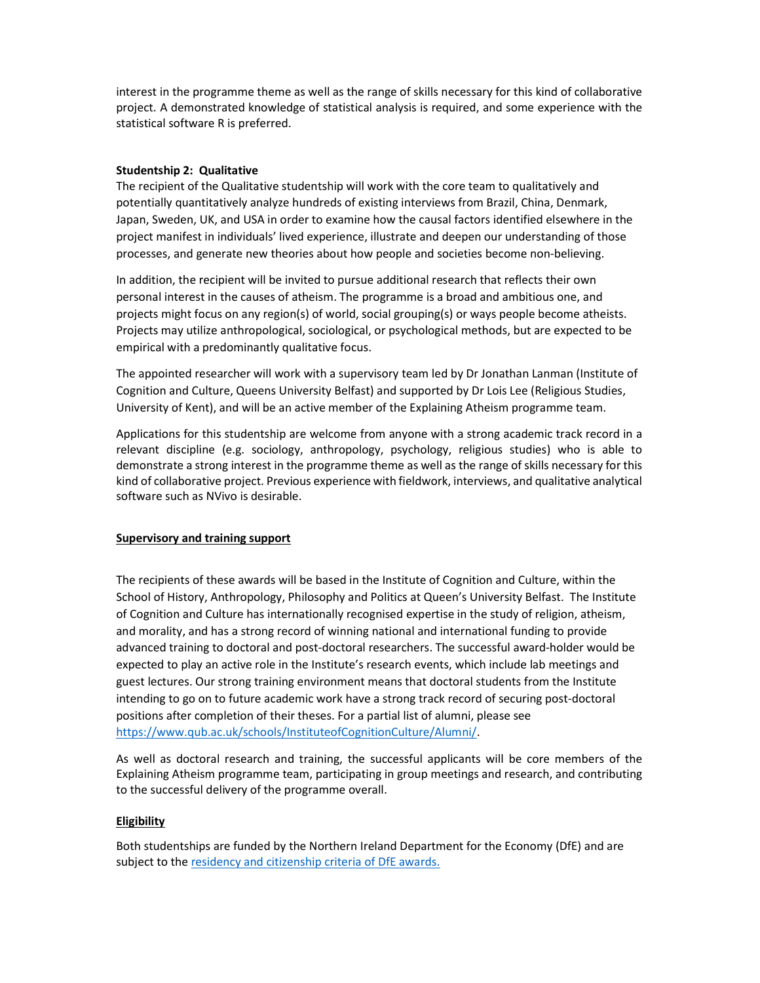interest in the programme theme as well as the range of skills necessary for this kind of collaborative project. A demonstrated knowledge of statistical analysis is required, and some experience with the statistical software R is preferred.

### Studentship 2: Qualitative

The recipient of the Qualitative studentship will work with the core team to qualitatively and potentially quantitatively analyze hundreds of existing interviews from Brazil, China, Denmark, Japan, Sweden, UK, and USA in order to examine how the causal factors identified elsewhere in the project manifest in individuals' lived experience, illustrate and deepen our understanding of those processes, and generate new theories about how people and societies become non-believing.

In addition, the recipient will be invited to pursue additional research that reflects their own personal interest in the causes of atheism. The programme is a broad and ambitious one, and projects might focus on any region(s) of world, social grouping(s) or ways people become atheists. Projects may utilize anthropological, sociological, or psychological methods, but are expected to be empirical with a predominantly qualitative focus.

The appointed researcher will work with a supervisory team led by Dr Jonathan Lanman (Institute of Cognition and Culture, Queens University Belfast) and supported by Dr Lois Lee (Religious Studies, University of Kent), and will be an active member of the Explaining Atheism programme team.

Applications for this studentship are welcome from anyone with a strong academic track record in a relevant discipline (e.g. sociology, anthropology, psychology, religious studies) who is able to demonstrate a strong interest in the programme theme as well as the range of skills necessary for this kind of collaborative project. Previous experience with fieldwork, interviews, and qualitative analytical software such as NVivo is desirable.

### Supervisory and training support

The recipients of these awards will be based in the Institute of Cognition and Culture, within the School of History, Anthropology, Philosophy and Politics at Queen's University Belfast. The Institute of Cognition and Culture has internationally recognised expertise in the study of religion, atheism, and morality, and has a strong record of winning national and international funding to provide advanced training to doctoral and post-doctoral researchers. The successful award-holder would be expected to play an active role in the Institute's research events, which include lab meetings and guest lectures. Our strong training environment means that doctoral students from the Institute intending to go on to future academic work have a strong track record of securing post-doctoral positions after completion of their theses. For a partial list of alumni, please see https://www.qub.ac.uk/schools/InstituteofCognitionCulture/Alumni/.

As well as doctoral research and training, the successful applicants will be core members of the Explaining Atheism programme team, participating in group meetings and research, and contributing to the successful delivery of the programme overall.

#### Eligibility

Both studentships are funded by the Northern Ireland Department for the Economy (DfE) and are subject to the residency and citizenship criteria of DfE awards.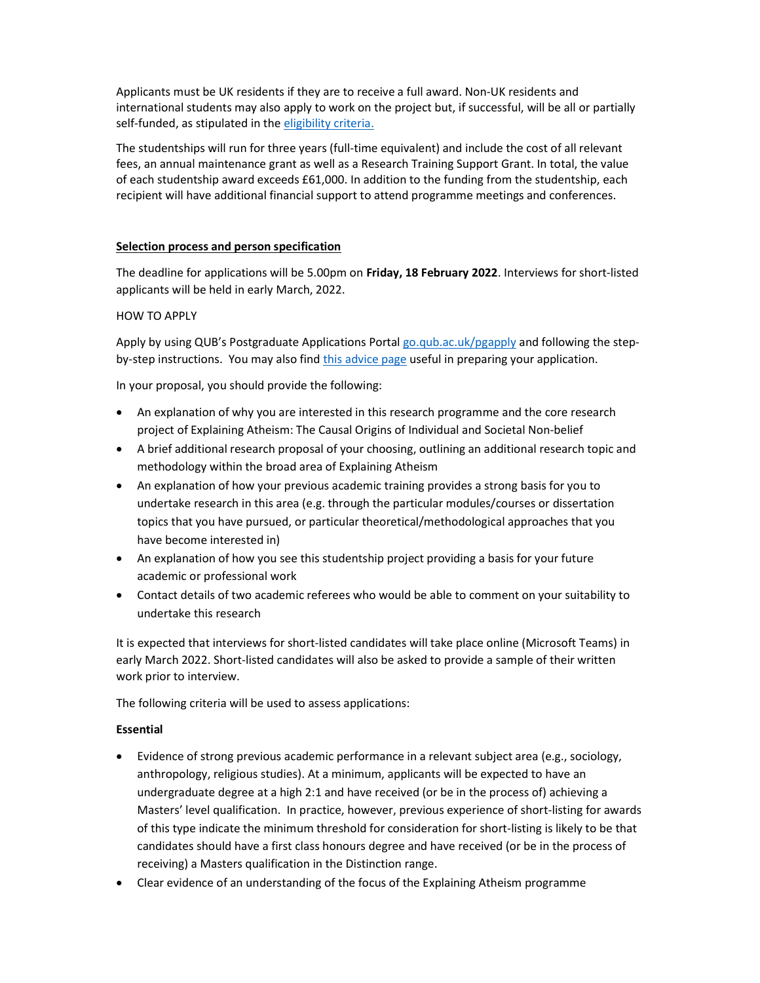Applicants must be UK residents if they are to receive a full award. Non-UK residents and international students may also apply to work on the project but, if successful, will be all or partially self-funded, as stipulated in the eligibility criteria.

The studentships will run for three years (full-time equivalent) and include the cost of all relevant fees, an annual maintenance grant as well as a Research Training Support Grant. In total, the value of each studentship award exceeds £61,000. In addition to the funding from the studentship, each recipient will have additional financial support to attend programme meetings and conferences.

## Selection process and person specification

The deadline for applications will be 5.00pm on Friday, 18 February 2022. Interviews for short-listed applicants will be held in early March, 2022.

## HOW TO APPLY

Apply by using QUB's Postgraduate Applications Portal go.qub.ac.uk/pgapply and following the stepby-step instructions. You may also find this advice page useful in preparing your application.

In your proposal, you should provide the following:

- An explanation of why you are interested in this research programme and the core research project of Explaining Atheism: The Causal Origins of Individual and Societal Non-belief
- A brief additional research proposal of your choosing, outlining an additional research topic and methodology within the broad area of Explaining Atheism
- An explanation of how your previous academic training provides a strong basis for you to undertake research in this area (e.g. through the particular modules/courses or dissertation topics that you have pursued, or particular theoretical/methodological approaches that you have become interested in)
- An explanation of how you see this studentship project providing a basis for your future academic or professional work
- Contact details of two academic referees who would be able to comment on your suitability to undertake this research

It is expected that interviews for short-listed candidates will take place online (Microsoft Teams) in early March 2022. Short-listed candidates will also be asked to provide a sample of their written work prior to interview.

The following criteria will be used to assess applications:

### Essential

- Evidence of strong previous academic performance in a relevant subject area (e.g., sociology, anthropology, religious studies). At a minimum, applicants will be expected to have an undergraduate degree at a high 2:1 and have received (or be in the process of) achieving a Masters' level qualification. In practice, however, previous experience of short-listing for awards of this type indicate the minimum threshold for consideration for short-listing is likely to be that candidates should have a first class honours degree and have received (or be in the process of receiving) a Masters qualification in the Distinction range.
- Clear evidence of an understanding of the focus of the Explaining Atheism programme